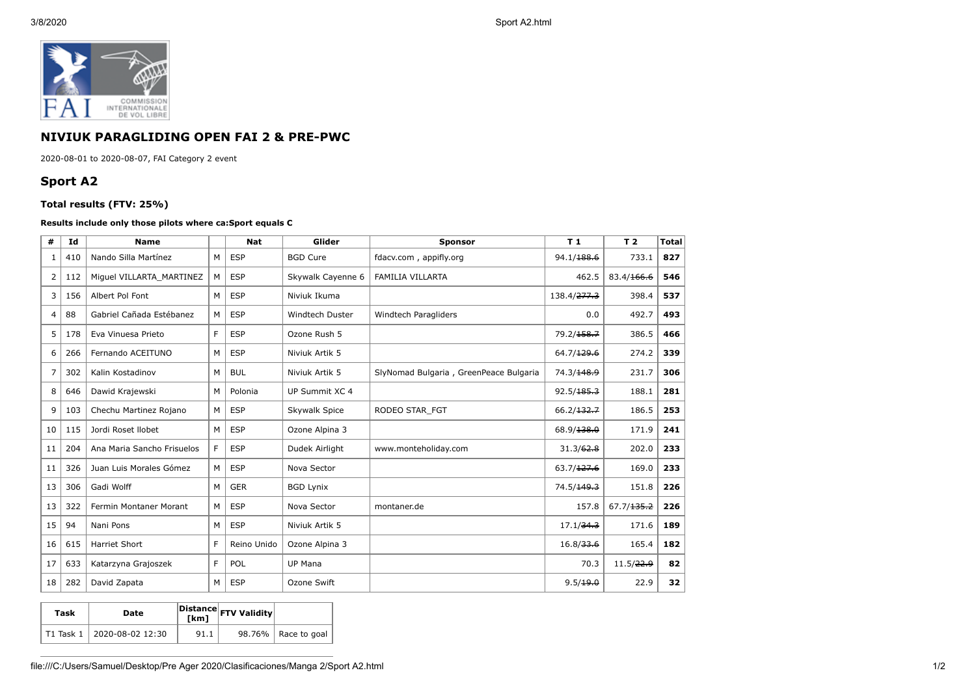

## **NIVIUK PARAGLIDING OPEN FAI 2 & PRE-PWC**

2020-08-01 to 2020-08-07, FAI Category 2 event

## **Sport A2**

## **Total results (FTV: 25%)**

## **Results include only those pilots where ca:Sport equals C**

| #  | Id  | <b>Name</b>                |   | <b>Nat</b>  | Glider            | <b>Sponsor</b>                         | T <sub>1</sub>          | T <sub>2</sub> | <b>Total</b> |
|----|-----|----------------------------|---|-------------|-------------------|----------------------------------------|-------------------------|----------------|--------------|
| 1  | 410 | Nando Silla Martínez       | M | <b>ESP</b>  | <b>BGD Cure</b>   | fdacv.com, appifly.org                 | 94.1/188.6              | 733.1          | 827          |
| 2  | 112 | Miguel VILLARTA MARTINEZ   | M | <b>ESP</b>  | Skywalk Cayenne 6 | <b>FAMILIA VILLARTA</b><br>462.5       |                         | 83.4/166.6     | 546          |
| 3  | 156 | Albert Pol Font            | M | <b>ESP</b>  | Niviuk Ikuma      |                                        | 138.4/ <del>277.3</del> | 398.4          | 537          |
| 4  | 88  | Gabriel Cañada Estébanez   | М | <b>ESP</b>  | Windtech Duster   | Windtech Paragliders                   | 0.0                     | 492.7          | 493          |
| 5  | 178 | Eva Vinuesa Prieto         | F | <b>ESP</b>  | Ozone Rush 5      |                                        | 79.2/158.7              | 386.5          | 466          |
| 6  | 266 | Fernando ACEITUNO          | М | <b>ESP</b>  | Niviuk Artik 5    |                                        | 64.7/129.6              | 274.2          | 339          |
| 7  | 302 | Kalin Kostadinov           | М | <b>BUL</b>  | Niviuk Artik 5    | SlyNomad Bulgaria, GreenPeace Bulgaria | 74.3/148.9              | 231.7          | 306          |
| 8  | 646 | Dawid Krajewski            | M | Polonia     | UP Summit XC 4    |                                        | 92.5/185.3              | 188.1          | 281          |
| 9  | 103 | Chechu Martinez Rojano     | M | <b>ESP</b>  | Skywalk Spice     | RODEO STAR FGT                         | 66.2/132.7              | 186.5          | 253          |
| 10 | 115 | Jordi Roset Ilobet         | M | <b>ESP</b>  | Ozone Alpina 3    |                                        | 68.9/138.0              | 171.9          | 241          |
| 11 | 204 | Ana Maria Sancho Frisuelos | F | <b>ESP</b>  | Dudek Airlight    | www.monteholiday.com                   | 31.3/62.8               | 202.0          | 233          |
| 11 | 326 | Juan Luis Morales Gómez    | M | <b>ESP</b>  | Nova Sector       |                                        | 63.7/127.6              | 169.0          | 233          |
| 13 | 306 | Gadi Wolff                 | M | <b>GER</b>  | <b>BGD Lynix</b>  |                                        | 74.5/149.3              | 151.8          | 226          |
| 13 | 322 | Fermin Montaner Morant     | М | <b>ESP</b>  | Nova Sector       | montaner.de                            | 157.8                   | 67.7/135.2     | 226          |
| 15 | 94  | Nani Pons                  | M | <b>ESP</b>  | Niviuk Artik 5    |                                        | 17.1/34.3               | 171.6          | 189          |
| 16 | 615 | <b>Harriet Short</b>       | F | Reino Unido | Ozone Alpina 3    |                                        | 16.8/33.6               | 165.4          | 182          |
| 17 | 633 | Katarzyna Grajoszek        | F | POL         | <b>UP Mana</b>    |                                        | 70.3                    | 11.5/22.9      | 82           |
| 18 | 282 | David Zapata               | M | <b>ESP</b>  | Ozone Swift       |                                        | 9.5/19.0                | 22.9           | 32           |

| Task | Date                       |      | $\left  \frac{\text{Distance}}{\text{[km]}} \right $ FTV Validity |                       |
|------|----------------------------|------|-------------------------------------------------------------------|-----------------------|
|      | T1 Task 1 2020-08-02 12:30 | 91.1 |                                                                   | 98.76%   Race to goal |